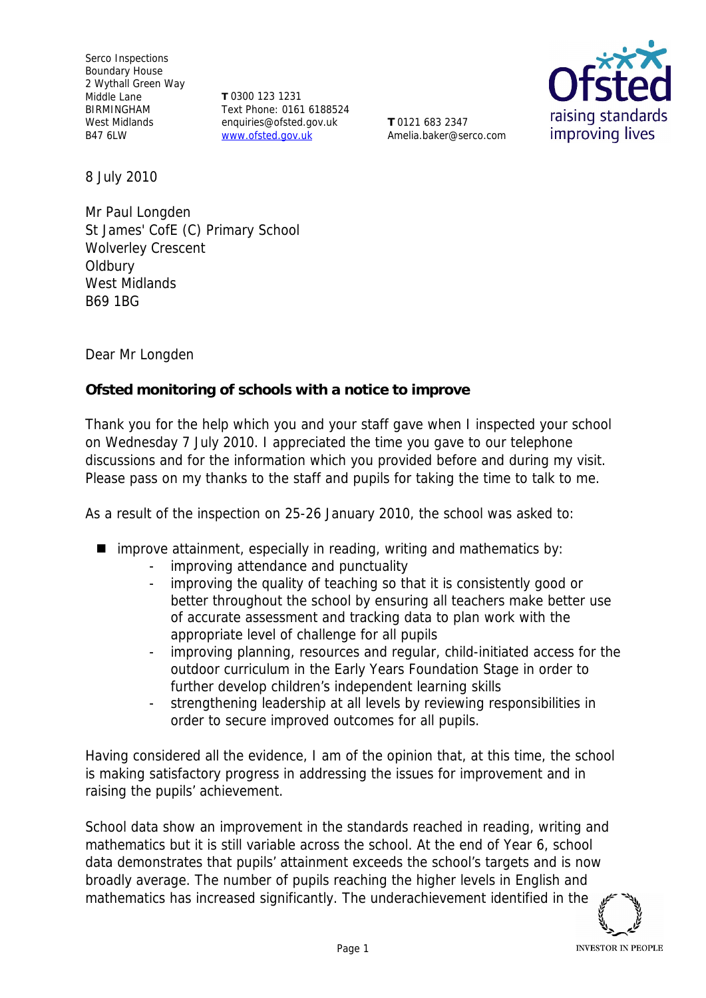Serco Inspections Boundary House 2 Wythall Green Way Middle Lane BIRMINGHAM West Midlands B47 6LW

**T** 0300 123 1231 Text Phone: 0161 6188524 enquiries@ofsted.gov.uk www.ofsted.gov.uk

**T** 0121 683 2347 Amelia.baker@serco.com



8 July 2010

Mr Paul Longden St James' CofE (C) Primary School Wolverley Crescent **Oldbury** West Midlands B69 1BG

Dear Mr Longden

**Ofsted monitoring of schools with a notice to improve**

Thank you for the help which you and your staff gave when I inspected your school on Wednesday 7 July 2010. I appreciated the time you gave to our telephone discussions and for the information which you provided before and during my visit*.* Please pass on my thanks to the staff and pupils for taking the time to talk to me.

As a result of the inspection on 25-26 January 2010, the school was asked to:

- $\blacksquare$  improve attainment, especially in reading, writing and mathematics by:
	- improving attendance and punctuality
	- improving the quality of teaching so that it is consistently good or better throughout the school by ensuring all teachers make better use of accurate assessment and tracking data to plan work with the appropriate level of challenge for all pupils
	- improving planning, resources and regular, child-initiated access for the outdoor curriculum in the Early Years Foundation Stage in order to further develop children's independent learning skills
	- strengthening leadership at all levels by reviewing responsibilities in order to secure improved outcomes for all pupils.

Having considered all the evidence, I am of the opinion that, at this time, the school is making satisfactory progress in addressing the issues for improvement and in raising the pupils' achievement.

School data show an improvement in the standards reached in reading, writing and mathematics but it is still variable across the school. At the end of Year 6, school data demonstrates that pupils' attainment exceeds the school's targets and is now broadly average. The number of pupils reaching the higher levels in English and mathematics has increased significantly. The underachievement identified in the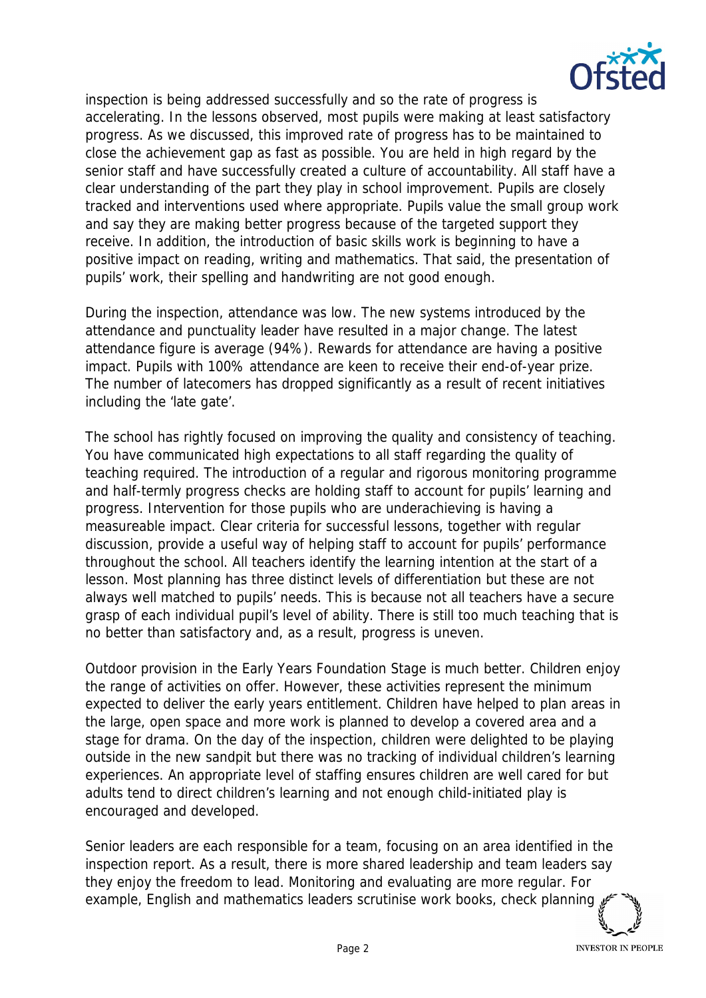

inspection is being addressed successfully and so the rate of progress is accelerating. In the lessons observed, most pupils were making at least satisfactory progress. As we discussed, this improved rate of progress has to be maintained to close the achievement gap as fast as possible. You are held in high regard by the senior staff and have successfully created a culture of accountability. All staff have a clear understanding of the part they play in school improvement. Pupils are closely tracked and interventions used where appropriate. Pupils value the small group work and say they are making better progress because of the targeted support they receive. In addition, the introduction of basic skills work is beginning to have a positive impact on reading, writing and mathematics. That said, the presentation of pupils' work, their spelling and handwriting are not good enough.

During the inspection, attendance was low. The new systems introduced by the attendance and punctuality leader have resulted in a major change. The latest attendance figure is average (94%). Rewards for attendance are having a positive impact. Pupils with 100% attendance are keen to receive their end-of-year prize. The number of latecomers has dropped significantly as a result of recent initiatives including the 'late gate'.

The school has rightly focused on improving the quality and consistency of teaching. You have communicated high expectations to all staff regarding the quality of teaching required. The introduction of a regular and rigorous monitoring programme and half-termly progress checks are holding staff to account for pupils' learning and progress. Intervention for those pupils who are underachieving is having a measureable impact. Clear criteria for successful lessons, together with regular discussion, provide a useful way of helping staff to account for pupils' performance throughout the school. All teachers identify the learning intention at the start of a lesson. Most planning has three distinct levels of differentiation but these are not always well matched to pupils' needs. This is because not all teachers have a secure grasp of each individual pupil's level of ability. There is still too much teaching that is no better than satisfactory and, as a result, progress is uneven.

Outdoor provision in the Early Years Foundation Stage is much better. Children enjoy the range of activities on offer. However, these activities represent the minimum expected to deliver the early years entitlement. Children have helped to plan areas in the large, open space and more work is planned to develop a covered area and a stage for drama. On the day of the inspection, children were delighted to be playing outside in the new sandpit but there was no tracking of individual children's learning experiences. An appropriate level of staffing ensures children are well cared for but adults tend to direct children's learning and not enough child-initiated play is encouraged and developed.

Senior leaders are each responsible for a team, focusing on an area identified in the inspection report. As a result, there is more shared leadership and team leaders say they enjoy the freedom to lead. Monitoring and evaluating are more regular. For example, English and mathematics leaders scrutinise work books, check planning